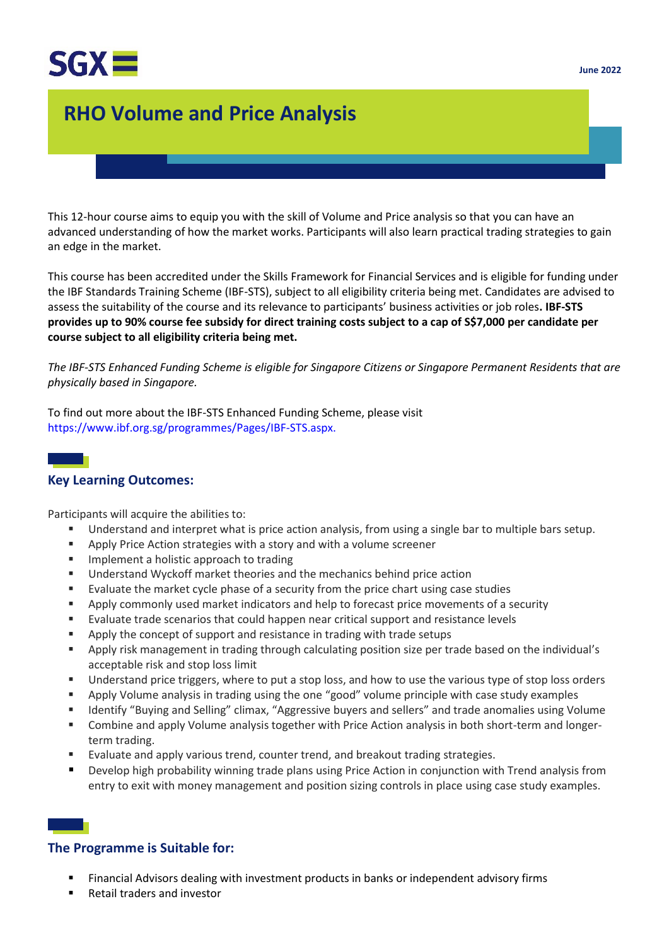

# **RHO Volume and Price Analysis**

This 12-hour course aims to equip you with the skill of Volume and Price analysis so that you can have an advanced understanding of how the market works. Participants will also learn practical trading strategies to gain an edge in the market.

This course has been accredited under the Skills Framework for Financial Services and is eligible for funding under the IBF Standards Training Scheme (IBF-STS), subject to all eligibility criteria being met. Candidates are advised to assess the suitability of the course and its relevance to participants' business activities or job roles**. IBF-STS provides up to 90% course fee subsidy for direct training costs subject to a cap of S\$7,000 per candidate per course subject to all eligibility criteria being met.**

*The IBF-STS Enhanced Funding Scheme is eligible for Singapore Citizens or Singapore Permanent Residents that are physically based in Singapore.*

To find out more about the IBF-STS Enhanced Funding Scheme, please visit https://www.ibf.org.sg/programmes/Pages/IBF-STS.aspx.

# **Key Learning Outcomes:**

Participants will acquire the abilities to:

- Understand and interpret what is price action analysis, from using a single bar to multiple bars setup.
- Apply Price Action strategies with a story and with a volume screener
- Implement a holistic approach to trading
- Understand Wyckoff market theories and the mechanics behind price action
- Evaluate the market cycle phase of a security from the price chart using case studies
- **E** Apply commonly used market indicators and help to forecast price movements of a security
- Evaluate trade scenarios that could happen near critical support and resistance levels
- Apply the concept of support and resistance in trading with trade setups
- Apply risk management in trading through calculating position size per trade based on the individual's acceptable risk and stop loss limit
- **■** Understand price triggers, where to put a stop loss, and how to use the various type of stop loss orders
- Apply Volume analysis in trading using the one "good" volume principle with case study examples
- Identify "Buying and Selling" climax, "Aggressive buyers and sellers" and trade anomalies using Volume
- Combine and apply Volume analysis together with Price Action analysis in both short-term and longerterm trading.
- Evaluate and apply various trend, counter trend, and breakout trading strategies.
- Develop high probability winning trade plans using Price Action in conjunction with Trend analysis from entry to exit with money management and position sizing controls in place using case study examples.

### **The Programme is Suitable for:**

- Financial Advisors dealing with investment products in banks or independent advisory firms
- Retail traders and investor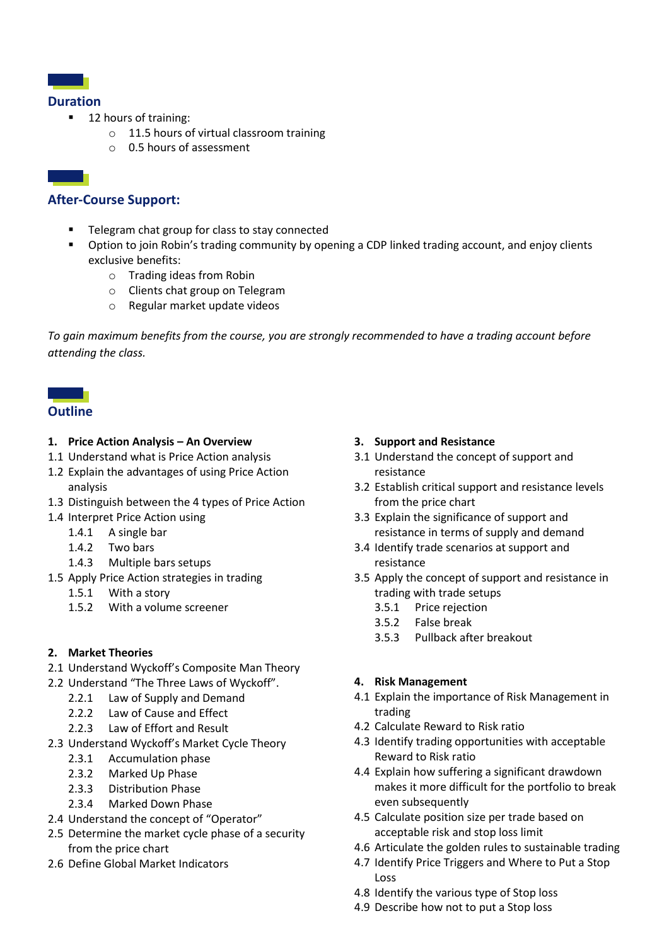

#### **Duration**

- 12 hours of training:
	- o 11.5 hours of virtual classroom training
	- o 0.5 hours of assessment

# **After-Course Support:**

- Telegram chat group for class to stay connected
- Option to join Robin's trading community by opening a CDP linked trading account, and enjoy clients exclusive benefits:
	- o Trading ideas from Robin
	- o Clients chat group on Telegram
	- o Regular market update videos

*To gain maximum benefits from the course, you are strongly recommended to have a trading account before attending the class.*

# **Outline**

#### **1. Price Action Analysis – An Overview**

- 1.1 Understand what is Price Action analysis
- 1.2 Explain the advantages of using Price Action analysis
- 1.3 Distinguish between the 4 types of Price Action
- 1.4 Interpret Price Action using
	- 1.4.1 A single bar
	- 1.4.2 Two bars
	- 1.4.3 Multiple bars setups
- 1.5 Apply Price Action strategies in trading
	- 1.5.1 With a story
	- 1.5.2 With a volume screener

### **2. Market Theories**

- 2.1 Understand Wyckoff's Composite Man Theory
- 2.2 Understand "The Three Laws of Wyckoff".
	- 2.2.1 Law of Supply and Demand
	- 2.2.2 Law of Cause and Effect
	- 2.2.3 Law of Effort and Result
- 2.3 Understand Wyckoff's Market Cycle Theory
	- 2.3.1 Accumulation phase
	- 2.3.2 Marked Up Phase
	- 2.3.3 Distribution Phase
	- 2.3.4 Marked Down Phase
- 2.4 Understand the concept of "Operator"
- 2.5 Determine the market cycle phase of a security from the price chart
- 2.6 Define Global Market Indicators

#### **3. Support and Resistance**

- 3.1 Understand the concept of support and resistance
- 3.2 Establish critical support and resistance levels from the price chart
- 3.3 Explain the significance of support and resistance in terms of supply and demand
- 3.4 Identify trade scenarios at support and resistance
- 3.5 Apply the concept of support and resistance in trading with trade setups
	- 3.5.1 Price rejection
	- 3.5.2 False break
	- 3.5.3 Pullback after breakout

### **4. Risk Management**

- 4.1 Explain the importance of Risk Management in trading
- 4.2 Calculate Reward to Risk ratio
- 4.3 Identify trading opportunities with acceptable Reward to Risk ratio
- 4.4 Explain how suffering a significant drawdown makes it more difficult for the portfolio to break even subsequently
- 4.5 Calculate position size per trade based on acceptable risk and stop loss limit
- 4.6 Articulate the golden rules to sustainable trading
- 4.7 Identify Price Triggers and Where to Put a Stop Loss
- 4.8 Identify the various type of Stop loss
- 4.9 Describe how not to put a Stop loss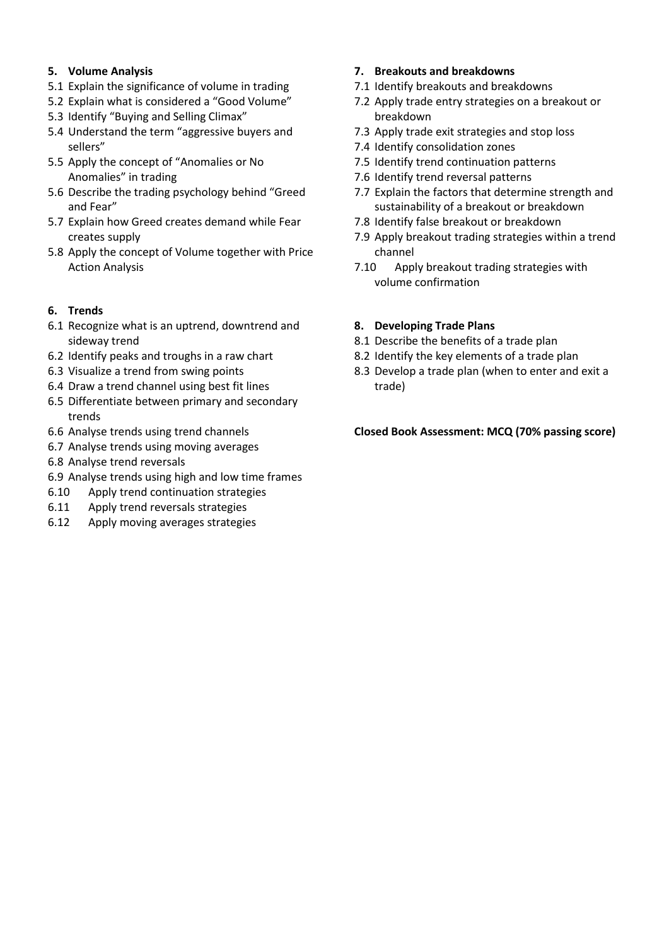### **5. Volume Analysis**

- 5.1 Explain the significance of volume in trading
- 5.2 Explain what is considered a "Good Volume"
- 5.3 Identify "Buying and Selling Climax"
- 5.4 Understand the term "aggressive buyers and sellers"
- 5.5 Apply the concept of "Anomalies or No Anomalies" in trading
- 5.6 Describe the trading psychology behind "Greed and Fear"
- 5.7 Explain how Greed creates demand while Fear creates supply
- 5.8 Apply the concept of Volume together with Price Action Analysis

## **6. Trends**

- 6.1 Recognize what is an uptrend, downtrend and sideway trend
- 6.2 Identify peaks and troughs in a raw chart
- 6.3 Visualize a trend from swing points
- 6.4 Draw a trend channel using best fit lines
- 6.5 Differentiate between primary and secondary trends
- 6.6 Analyse trends using trend channels
- 6.7 Analyse trends using moving averages
- 6.8 Analyse trend reversals
- 6.9 Analyse trends using high and low time frames
- 6.10 Apply trend continuation strategies
- 6.11 Apply trend reversals strategies
- 6.12 Apply moving averages strategies

## **7. Breakouts and breakdowns**

- 7.1 Identify breakouts and breakdowns
- 7.2 Apply trade entry strategies on a breakout or breakdown
- 7.3 Apply trade exit strategies and stop loss
- 7.4 Identify consolidation zones
- 7.5 Identify trend continuation patterns
- 7.6 Identify trend reversal patterns
- 7.7 Explain the factors that determine strength and sustainability of a breakout or breakdown
- 7.8 Identify false breakout or breakdown
- 7.9 Apply breakout trading strategies within a trend channel
- 7.10 Apply breakout trading strategies with volume confirmation

#### **8. Developing Trade Plans**

- 8.1 Describe the benefits of a trade plan
- 8.2 Identify the key elements of a trade plan
- 8.3 Develop a trade plan (when to enter and exit a trade)

#### **Closed Book Assessment: MCQ (70% passing score)**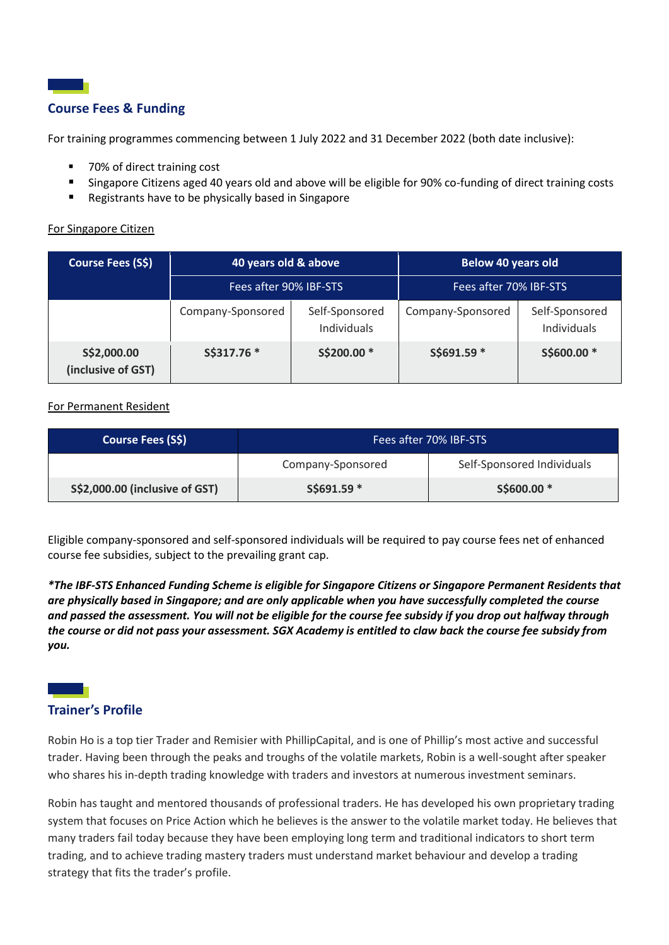

For training programmes commencing between 1 July 2022 and 31 December 2022 (both date inclusive):

- 70% of direct training cost
- Singapore Citizens aged 40 years old and above will be eligible for 90% co-funding of direct training costs
- Registrants have to be physically based in Singapore

#### For Singapore Citizen

| Course Fees (S\$)                 | 40 years old & above   |                               | <b>Below 40 years old</b> |                               |
|-----------------------------------|------------------------|-------------------------------|---------------------------|-------------------------------|
|                                   | Fees after 90% IBF-STS |                               | Fees after 70% IBF-STS    |                               |
|                                   | Company-Sponsored      | Self-Sponsored<br>Individuals | Company-Sponsored         | Self-Sponsored<br>Individuals |
| S\$2,000.00<br>(inclusive of GST) | S\$317.76 *            | S\$200.00 *                   | S\$691.59 *               | S\$600.00 *                   |

#### For Permanent Resident

| Course Fees (S\$)              | Fees after 70% IBF-STS |                            |  |
|--------------------------------|------------------------|----------------------------|--|
|                                | Company-Sponsored      | Self-Sponsored Individuals |  |
| S\$2,000.00 (inclusive of GST) | $S$691.59*$            | S\$600.00 *                |  |

Eligible company-sponsored and self-sponsored individuals will be required to pay course fees net of enhanced course fee subsidies, subject to the prevailing grant cap.

*\*The IBF-STS Enhanced Funding Scheme is eligible for Singapore Citizens or Singapore Permanent Residents that are physically based in Singapore; and are only applicable when you have successfully completed the course and passed the assessment. You will not be eligible for the course fee subsidy if you drop out halfway through the course or did not pass your assessment. SGX Academy is entitled to claw back the course fee subsidy from you.*

## **Trainer's Profile**

Robin Ho is a top tier Trader and Remisier with PhillipCapital, and is one of Phillip's most active and successful trader. Having been through the peaks and troughs of the volatile markets, Robin is a well-sought after speaker who shares his in-depth trading knowledge with traders and investors at numerous investment seminars.

Robin has taught and mentored thousands of professional traders. He has developed his own proprietary trading system that focuses on Price Action which he believes is the answer to the volatile market today. He believes that many traders fail today because they have been employing long term and traditional indicators to short term trading, and to achieve trading mastery traders must understand market behaviour and develop a trading strategy that fits the trader's profile.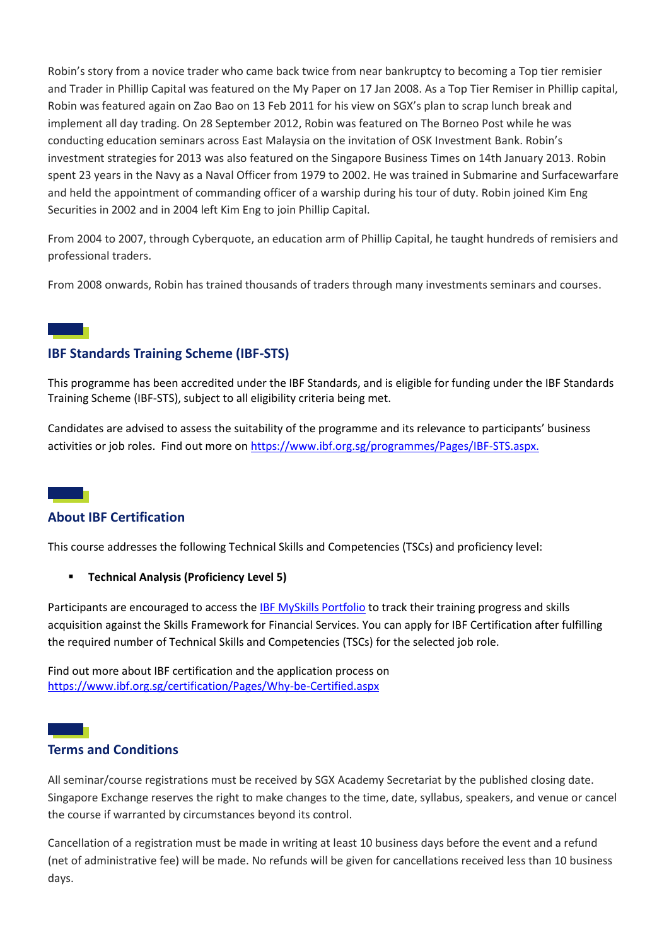Robin's story from a novice trader who came back twice from near bankruptcy to becoming a Top tier remisier and Trader in Phillip Capital was featured on the My Paper on 17 Jan 2008. As a Top Tier Remiser in Phillip capital, Robin was featured again on Zao Bao on 13 Feb 2011 for his view on SGX's plan to scrap lunch break and implement all day trading. On 28 September 2012, Robin was featured on The Borneo Post while he was conducting education seminars across East Malaysia on the invitation of OSK Investment Bank. Robin's investment strategies for 2013 was also featured on the Singapore Business Times on 14th January 2013. Robin spent 23 years in the Navy as a Naval Officer from 1979 to 2002. He was trained in Submarine and Surfacewarfare and held the appointment of commanding officer of a warship during his tour of duty. Robin joined Kim Eng Securities in 2002 and in 2004 left Kim Eng to join Phillip Capital.

From 2004 to 2007, through Cyberquote, an education arm of Phillip Capital, he taught hundreds of remisiers and professional traders.

From 2008 onwards, Robin has trained thousands of traders through many investments seminars and courses.

# **IBF Standards Training Scheme (IBF-STS)**

This programme has been accredited under the IBF Standards, and is eligible for funding under the IBF Standards Training Scheme (IBF-STS), subject to all eligibility criteria being met.

Candidates are advised to assess the suitability of the programme and its relevance to participants' business activities or job roles. Find out more on [https://www.ibf.org.sg/programmes/Pages/IBF-STS.aspx.](about:blank)

# **About IBF Certification**

This course addresses the following Technical Skills and Competencies (TSCs) and proficiency level:

▪ **Technical Analysis (Proficiency Level 5)** 

Participants are encouraged to access the [IBF MySkills Portfolio](https://www.ibf.org.sg/programmes/Pages/MySkills-Portfolio.aspx) to track their training progress and skills acquisition against the Skills Framework for Financial Services. You can apply for IBF Certification after fulfilling the required number of Technical Skills and Competencies (TSCs) for the selected job role.

Find out more about IBF certification and the application process on <https://www.ibf.org.sg/certification/Pages/Why-be-Certified.aspx>

## **Terms and Conditions**

All seminar/course registrations must be received by SGX Academy Secretariat by the published closing date. Singapore Exchange reserves the right to make changes to the time, date, syllabus, speakers, and venue or cancel the course if warranted by circumstances beyond its control.

Cancellation of a registration must be made in writing at least 10 business days before the event and a refund (net of administrative fee) will be made. No refunds will be given for cancellations received less than 10 business days.